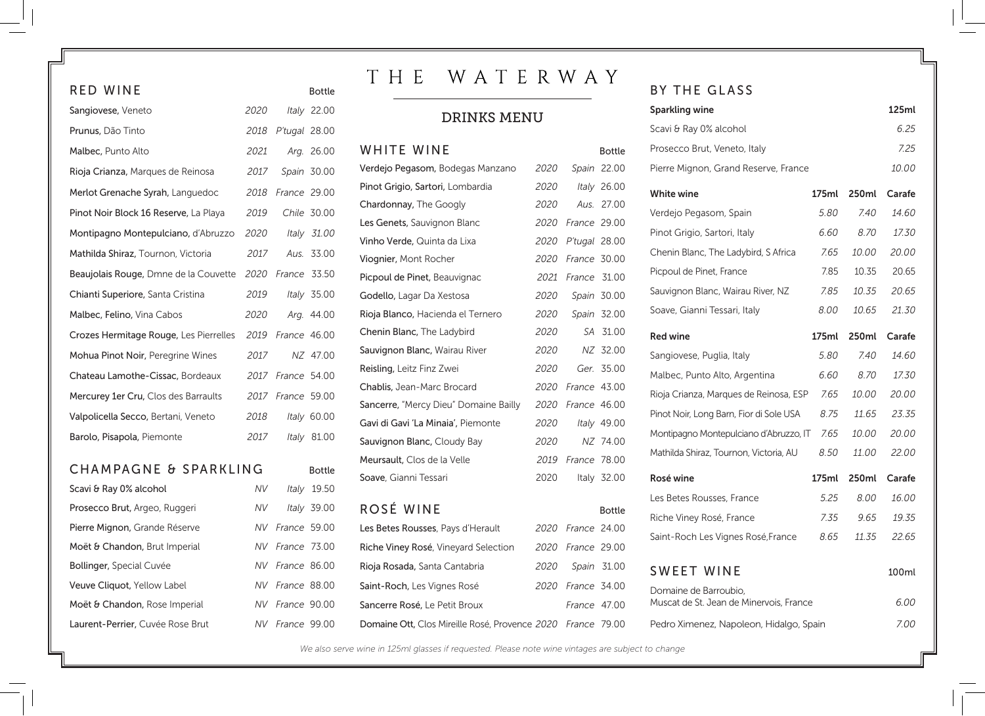| RED WINE                               |           |               | <b>Bottle</b> |  |
|----------------------------------------|-----------|---------------|---------------|--|
| Sangiovese, Veneto                     | 2020      |               | Italy 22.00   |  |
| Prunus, Dão Tinto                      | 2018      | P'tugal 28.00 |               |  |
| Malbec, Punto Alto                     | 2021      |               | Arg. 26.00    |  |
| Rioja Crianza, Marques de Reinosa      | 2017      |               | Spain 30.00   |  |
| Merlot Grenache Syrah, Languedoc       | 2018      | France 29.00  |               |  |
| Pinot Noir Block 16 Reserve, La Playa  | 2019      |               | Chile 30.00   |  |
| Montipagno Montepulciano, d'Abruzzo    | 2020      |               | Italy 31.00   |  |
| Mathilda Shiraz, Tournon, Victoria     | 2017      |               | Aus. 33.00    |  |
| Beaujolais Rouge, Dmne de la Couvette  | 2020      | France 33.50  |               |  |
| Chianti Superiore, Santa Cristina      | 2019      |               | Italy 35.00   |  |
| Malbec, Felino, Vina Cabos             | 2020      |               | Arg. 44.00    |  |
| Crozes Hermitage Rouge, Les Pierrelles | 2019      | France 46.00  |               |  |
| Mohua Pinot Noir, Peregrine Wines      | 2017      |               | NZ 47.00      |  |
| Chateau Lamothe-Cissac, Bordeaux       | 2017      | France 54.00  |               |  |
| Mercurey 1er Cru, Clos des Barraults   | 2017      | France 59.00  |               |  |
| Valpolicella Secco, Bertani, Veneto    | 2018      |               | Italy 60.00   |  |
| Barolo, Pisapola, Piemonte             | 2017      |               | Italy 81.00   |  |
| CHAMPAGNE & SPARKLING                  |           |               |               |  |
|                                        |           |               | <b>Bottle</b> |  |
| Scavi & Ray 0% alcohol                 | NV.       | Italy         | 19.50         |  |
| Prosecco Brut, Argeo, Ruggeri          | NV        |               | Italy 39.00   |  |
| Pierre Mignon, Grande Réserve          | <b>NV</b> | France 59.00  |               |  |
| Moët & Chandon, Brut Imperial          | <b>NV</b> | France 73.00  |               |  |
| <b>Bollinger, Special Cuvée</b>        | NV        | France 86.00  |               |  |
| Veuve Cliquot, Yellow Label            | <b>NV</b> | France 88.00  |               |  |

Moët & Chandon, Rose Imperial *NV France* 90.00 Laurent-Perrier, Cuvée Rose Brut *NV France* 99.00

# THE WATERWAY

## DRINKS MENU

| WHITE WINE                            |      |               | <b>Bottle</b> |
|---------------------------------------|------|---------------|---------------|
| Verdejo Pegasom, Bodegas Manzano      | 2020 | Spain         | 22.00         |
| Pinot Grigio, Sartori, Lombardia      | 2020 | Italy         | 26.00         |
| Chardonnay, The Googly                | 2020 | Aus.          | 27.00         |
| Les Genets, Sauvignon Blanc           | 2020 | France 29.00  |               |
| Vinho Verde, Quinta da Lixa           | 2020 | P'tugal 28.00 |               |
| Viognier, Mont Rocher                 | 2020 | France 30.00  |               |
| Picpoul de Pinet, Beauvignac          | 2021 | France 31.00  |               |
| Godello, Lagar Da Xestosa             | 2020 |               | Spain 30.00   |
| Rioja Blanco, Hacienda el Ternero     | 2020 | Spain         | 32.00         |
| Chenin Blanc, The Ladybird            | 2020 | SA            | 31.00         |
| Sauvignon Blanc, Wairau River         | 2020 | NZ            | 32.00         |
| Reisling, Leitz Finz Zwei             | 2020 | Ger.          | 35.00         |
| Chablis, Jean-Marc Brocard            | 2020 | France 43.00  |               |
| Sancerre, "Mercy Dieu" Domaine Bailly | 2020 | France 46.00  |               |
| Gavi di Gavi 'La Minaia', Piemonte    | 2020 |               | Italy 49.00   |
| Sauvignon Blanc, Cloudy Bay           | 2020 | NZ            | 74.00         |
| Meursault, Clos de la Velle           | 2019 | France 78.00  |               |
| Soave, Gianni Tessari                 | 2020 |               | Italy 32.00   |
| ROSÉ WINE                             |      |               | <b>Bottle</b> |
| Les Betes Rousses, Pays d'Herault     | 2020 | France 24.00  |               |
| Riche Viney Rosé, Vineyard Selection  | 2020 | France 29.00  |               |
| Rioja Rosada, Santa Cantabria         | 2020 |               | Spain 31.00   |

### BY THE GLASS

| 125ml<br><b>Sparkling wine</b>                                           |       |              |              |  |
|--------------------------------------------------------------------------|-------|--------------|--------------|--|
| Scavi & Ray 0% alcohol                                                   |       |              |              |  |
| Prosecco Brut, Veneto, Italy                                             |       |              | 7.25         |  |
| Pierre Mignon, Grand Reserve, France<br><i>10.00</i>                     |       |              |              |  |
| <b>White wine</b>                                                        | 175ml | 250ml        | Carafe       |  |
| Verdejo Pegasom, Spain                                                   | 5.80  | 7.40         | 14.60        |  |
| Pinot Grigio, Sartori, Italy                                             | 6.60  | 8.70         | <i>17.30</i> |  |
| Chenin Blanc, The Ladybird, S Africa                                     | 7.65  | <i>10.00</i> | 20.00        |  |
| Picpoul de Pinet, France                                                 | 7.85  | 10.35        | 20.65        |  |
| Sauvignon Blanc, Wairau River, NZ                                        | 7.85  | 10.35        | 20.65        |  |
| Soave, Gianni Tessari, Italy                                             | 8.00  | 10.65        | 21.30        |  |
| <b>Red wine</b>                                                          | 175ml | 250ml        | Carafe       |  |
| Sangiovese, Puglia, Italy                                                | 5.80  | 7.40         | 14.60        |  |
| Malbec, Punto Alto, Argentina                                            | 6.60  | 8.70         | 17.30        |  |
| Rioja Crianza, Marques de Reinosa, ESP                                   | 7.65  | <i>10.00</i> | 20.00        |  |
| Pinot Noir, Long Barn, Fior di Sole USA                                  | 8.75  | 11.65        | 23.35        |  |
| Montipagno Montepulciano d'Abruzzo, IT                                   | 7.65  | <i>10.00</i> | 20.00        |  |
| Mathilda Shiraz, Tournon, Victoria, AU                                   | 8.50  | <i>11.00</i> | 22.00        |  |
| Rosé wine                                                                | 175ml | 250ml        | Carafe       |  |
| Les Betes Rousses, France                                                | 5.25  | 8.00         | 16.00        |  |
| Riche Viney Rosé, France                                                 | 7.35  | 9.65         | 19.35        |  |
| Saint-Roch Les Vignes Rosé, France                                       | 8.65  | 11.35        | 22.65        |  |
| <b>SWEET WINE</b><br>100ml                                               |       |              |              |  |
| Domaine de Barroubio.<br>Muscat de St. Jean de Minervois, France<br>6.00 |       |              |              |  |
| Pedro Ximenez, Napoleon, Hidalgo, Spain                                  |       |              | 7.00         |  |

*We also serve wine in 125ml glasses if requested. Please note wine vintages are subject to change*

Saint-Roch, Les Vignes Rosé *2020 France* 34.00 Sancerre Rosé, Le Petit Broux *France* 47.00 Domaine Ott, Clos Mireille Rosé, Provence *2020 France* 79.00